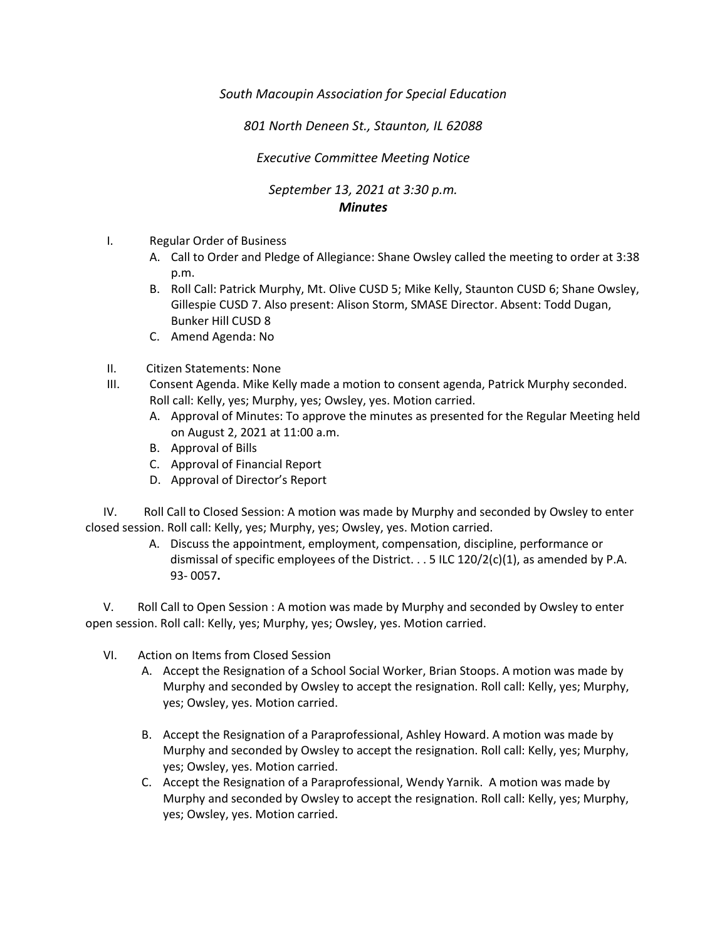*South Macoupin Association for Special Education* 

*801 North Deneen St., Staunton, IL 62088* 

*Executive Committee Meeting Notice*

*September 13, 2021 at 3:30 p.m. Minutes*

- I. Regular Order of Business
	- A. Call to Order and Pledge of Allegiance: Shane Owsley called the meeting to order at 3:38 p.m.
	- B. Roll Call: Patrick Murphy, Mt. Olive CUSD 5; Mike Kelly, Staunton CUSD 6; Shane Owsley, Gillespie CUSD 7. Also present: Alison Storm, SMASE Director. Absent: Todd Dugan, Bunker Hill CUSD 8
	- C. Amend Agenda: No
- II. Citizen Statements: None
- III. Consent Agenda. Mike Kelly made a motion to consent agenda, Patrick Murphy seconded. Roll call: Kelly, yes; Murphy, yes; Owsley, yes. Motion carried.
	- A. Approval of Minutes: To approve the minutes as presented for the Regular Meeting held on August 2, 2021 at 11:00 a.m.
	- B. Approval of Bills
	- C. Approval of Financial Report
	- D. Approval of Director's Report

 IV. Roll Call to Closed Session: A motion was made by Murphy and seconded by Owsley to enter closed session. Roll call: Kelly, yes; Murphy, yes; Owsley, yes. Motion carried.

> A. Discuss the appointment, employment, compensation, discipline, performance or dismissal of specific employees of the District.  $\ldots$  5 ILC 120/2(c)(1), as amended by P.A. 93- 0057**.**

 V. Roll Call to Open Session : A motion was made by Murphy and seconded by Owsley to enter open session. Roll call: Kelly, yes; Murphy, yes; Owsley, yes. Motion carried.

- VI. Action on Items from Closed Session
	- A. Accept the Resignation of a School Social Worker, Brian Stoops. A motion was made by Murphy and seconded by Owsley to accept the resignation. Roll call: Kelly, yes; Murphy, yes; Owsley, yes. Motion carried.
	- B. Accept the Resignation of a Paraprofessional, Ashley Howard. A motion was made by Murphy and seconded by Owsley to accept the resignation. Roll call: Kelly, yes; Murphy, yes; Owsley, yes. Motion carried.
	- C. Accept the Resignation of a Paraprofessional, Wendy Yarnik. A motion was made by Murphy and seconded by Owsley to accept the resignation. Roll call: Kelly, yes; Murphy, yes; Owsley, yes. Motion carried.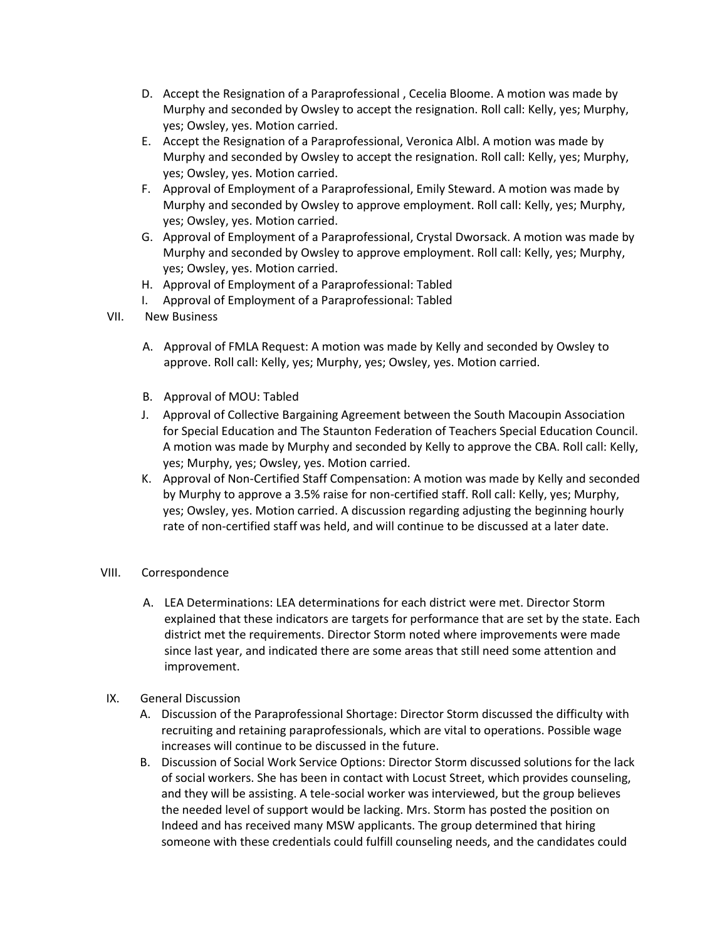- D. Accept the Resignation of a Paraprofessional , Cecelia Bloome. A motion was made by Murphy and seconded by Owsley to accept the resignation. Roll call: Kelly, yes; Murphy, yes; Owsley, yes. Motion carried.
- E. Accept the Resignation of a Paraprofessional, Veronica Albl. A motion was made by Murphy and seconded by Owsley to accept the resignation. Roll call: Kelly, yes; Murphy, yes; Owsley, yes. Motion carried.
- F. Approval of Employment of a Paraprofessional, Emily Steward. A motion was made by Murphy and seconded by Owsley to approve employment. Roll call: Kelly, yes; Murphy, yes; Owsley, yes. Motion carried.
- G. Approval of Employment of a Paraprofessional, Crystal Dworsack. A motion was made by Murphy and seconded by Owsley to approve employment. Roll call: Kelly, yes; Murphy, yes; Owsley, yes. Motion carried.
- H. Approval of Employment of a Paraprofessional: Tabled
- I. Approval of Employment of a Paraprofessional: Tabled
- VII. New Business
	- A. Approval of FMLA Request: A motion was made by Kelly and seconded by Owsley to approve. Roll call: Kelly, yes; Murphy, yes; Owsley, yes. Motion carried.
	- B. Approval of MOU: Tabled
	- J. Approval of Collective Bargaining Agreement between the South Macoupin Association for Special Education and The Staunton Federation of Teachers Special Education Council. A motion was made by Murphy and seconded by Kelly to approve the CBA. Roll call: Kelly, yes; Murphy, yes; Owsley, yes. Motion carried.
	- K. Approval of Non-Certified Staff Compensation: A motion was made by Kelly and seconded by Murphy to approve a 3.5% raise for non-certified staff. Roll call: Kelly, yes; Murphy, yes; Owsley, yes. Motion carried. A discussion regarding adjusting the beginning hourly rate of non-certified staff was held, and will continue to be discussed at a later date.
- VIII. Correspondence
	- A. LEA Determinations: LEA determinations for each district were met. Director Storm explained that these indicators are targets for performance that are set by the state. Each district met the requirements. Director Storm noted where improvements were made since last year, and indicated there are some areas that still need some attention and improvement.
- IX. General Discussion
	- A. Discussion of the Paraprofessional Shortage: Director Storm discussed the difficulty with recruiting and retaining paraprofessionals, which are vital to operations. Possible wage increases will continue to be discussed in the future.
	- B. Discussion of Social Work Service Options: Director Storm discussed solutions for the lack of social workers. She has been in contact with Locust Street, which provides counseling, and they will be assisting. A tele-social worker was interviewed, but the group believes the needed level of support would be lacking. Mrs. Storm has posted the position on Indeed and has received many MSW applicants. The group determined that hiring someone with these credentials could fulfill counseling needs, and the candidates could